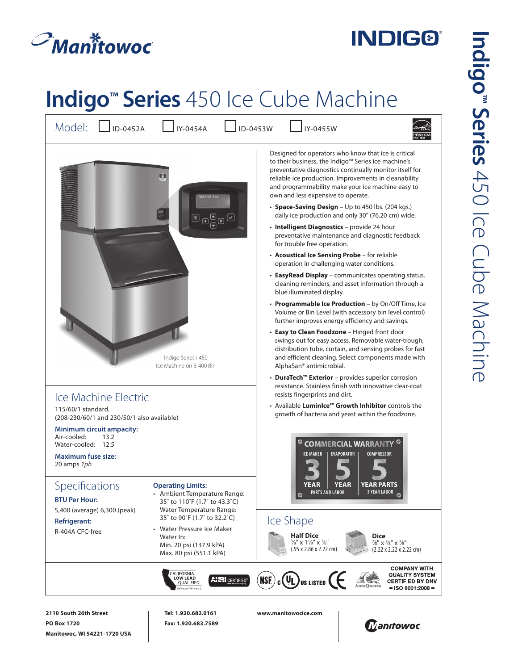## $\mathcal{P}_{\textit{Man} \textit{if} \textit{to} \textit{woc}}$

**Manitowoc, WI 54221-1720 USA**

## **INDIG®**

## **Indigo™ Series** 450 Ice Cube Machine

Model:  $\Box$ <sub>ID-0452A</sub>  $\Box$ <sub>IY-0454A</sub>  $\Box$ <sub>ID-0453W</sub>  $\Box$ <sub>IY-0455W</sub> Designed for operators who know that ice is critical to their business, the Indigo™ Series ice machine's preventative diagnostics continually monitor itself for **R** reliable ice production. Improvements in cleanability and programmability make your ice machine easy to own and less expensive to operate. • **Space-Saving Design** – Up to 450 lbs. (204 kgs.)  $\textcolor{red}{\textcircled{\tiny 1}}\,\textcolor{red}{\textcircled{\tiny 2}}\,\textcolor{red}{\textcircled{\tiny 2}}\,\textcolor{red}{\textcircled{\tiny 2}}\,\textcolor{red}{\textcircled{\tiny 2}}\,\textcolor{red}{\textcircled{\tiny 2}}$ daily ice production and only 30" (76.20 cm) wide. • **Intelligent Diagnostics** – provide 24 hour preventative maintenance and diagnostic feedback for trouble free operation. • **Acoustical Ice Sensing Probe** – for reliable operation in challenging water conditions. • **EasyRead Display** – communicates operating status, cleaning reminders, and asset information through a blue illuminated display. • **Programmable Ice Production** – by On/Off Time, Ice Volume or Bin Level (with accessory bin level control) further improves energy efficiency and savings. • **Easy to Clean Foodzone** – Hinged front door swings out for easy access. Removable water-trough, distribution tube, curtain, and sensing probes for fast Indigo Series i-450 and efficient cleaning. Select components made with Ice Machine on B-400 Bin AlphaSan® antimicrobial. • **DuraTech™ Exterior** – provides superior corrosion resistance. Stainless finish with innovative clear-coat resists fingerprints and dirt. Ice Machine Electric • Available **LuminIce™ Growth Inhibitor** controls the 115/60/1 standard. growth of bacteria and yeast within the foodzone. (208-230/60/1 and 230/50/1 also available)  **Minimum circuit ampacity:**  Air-cooled: 13.2 Water-cooled: 12.5 **COMMERCIAL WARRANTY <sup>6</sup> ICE MAKER 
<b>I** EVAPORATOR **I** COMPRESSOR **Maximum fuse size:**  20 amps *1ph***YEAR YEAR Specifications Operating Limits: YEAR PARTS 3 YEAR LABOR PARTS AND LABOR** • Ambient Temperature Range: **BTU Per Hour:**  35˚ to 110˚F (1.7˚ to 43.3˚C) 5,400 (average) 6,300 (peak) Water Temperature Range: 35˚ to 90˚F (1.7˚ to 32.2˚C) Ice Shape **Refrigerant:** • Water Pressure Ice Maker R-404A CFC-free **Half Dice Dice**  Water In: 3 ⁄8" x 11 ⁄8" x 7 ⁄8" 7 ⁄8" x 7 ⁄8" x 7 ⁄8" Min. 20 psi (137.9 kPA) (.95 x 2.86 x 2.22 cm) (2.22 x 2.22 x 2.22 cm) Max. 80 psi (551.1 kPA) **COMPANY WITH** CALIFORNIA<br>LOW LEAD<br>QUALIFIED  $\widehat{\mathsf{MSE}}_c(\mathbf{U}_L)$ us Listed $\mathbf{G}$ **QUALITY SYSTEM AHRI** CERTIFIED® **CERTIFIED BY DNV**  $=$  ISO 9001:2008  $=$ **2110 South 26th Street Tel: 1.920.682.0161 www.manitowocice.com PO Box 1720 Fax: 1.920.683.7589 Tianifowoc**